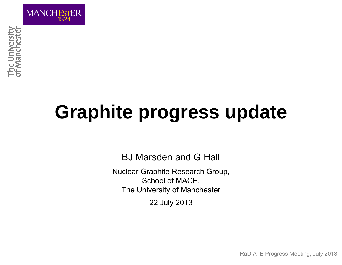

# **Graphite progress update**

BJ Marsden and G Hall

Nuclear Graphite Research Group, School of MACE, The University of Manchester 22 July 2013

RaDIATE Progress Meeting, July 2013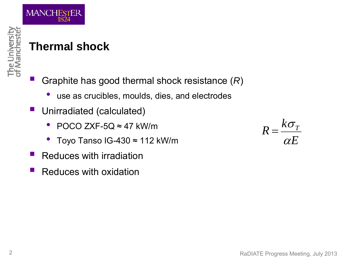

## **Thermal shock**

Graphite has good thermal shock resistance (*R*)

- •use as crucibles, moulds, dies, and electrodes
- Unirradiated (calculated)
	- POCO ZXF-5Q ≈ 47 kW/m
	- •Toyo Tanso IG-430 ≈ 112 kW/m
- Reduces with irradiation
- **Reduces with oxidation**

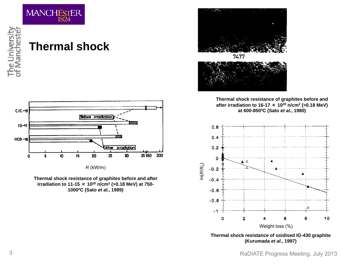

#### **Thermal shock**



*R* (kW/m)





**Thermal shock resistance of graphites before and after irradiation to 16-17** × **1020 n/cm2 (>0.18 MeV) at 600-850ºC (Sato** *et al.***, 1980)**



**Thermal shock resistance of oxidised IG-430 graphite (Kurumada** *et al.***, 1997)**